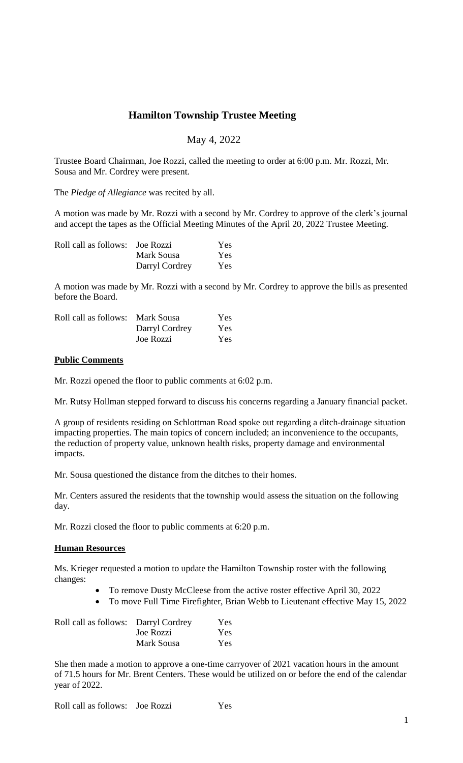# **Hamilton Township Trustee Meeting**

## May 4, 2022

Trustee Board Chairman, Joe Rozzi, called the meeting to order at 6:00 p.m. Mr. Rozzi, Mr. Sousa and Mr. Cordrey were present.

The *Pledge of Allegiance* was recited by all.

A motion was made by Mr. Rozzi with a second by Mr. Cordrey to approve of the clerk's journal and accept the tapes as the Official Meeting Minutes of the April 20, 2022 Trustee Meeting.

| Roll call as follows: Joe Rozzi |                | Yes. |
|---------------------------------|----------------|------|
|                                 | Mark Sousa     | Yes. |
|                                 | Darryl Cordrey | Yes. |

A motion was made by Mr. Rozzi with a second by Mr. Cordrey to approve the bills as presented before the Board.

| Roll call as follows: Mark Sousa |                | Yes.       |
|----------------------------------|----------------|------------|
|                                  | Darryl Cordrey | <b>Yes</b> |
|                                  | Joe Rozzi      | Yes        |

## **Public Comments**

Mr. Rozzi opened the floor to public comments at 6:02 p.m.

Mr. Rutsy Hollman stepped forward to discuss his concerns regarding a January financial packet.

A group of residents residing on Schlottman Road spoke out regarding a ditch-drainage situation impacting properties. The main topics of concern included; an inconvenience to the occupants, the reduction of property value, unknown health risks, property damage and environmental impacts.

Mr. Sousa questioned the distance from the ditches to their homes.

Mr. Centers assured the residents that the township would assess the situation on the following day.

Mr. Rozzi closed the floor to public comments at 6:20 p.m.

## **Human Resources**

Ms. Krieger requested a motion to update the Hamilton Township roster with the following changes:

- To remove Dusty McCleese from the active roster effective April 30, 2022
- To move Full Time Firefighter, Brian Webb to Lieutenant effective May 15, 2022

| Roll call as follows: Darryl Cordrey |            | Yes        |
|--------------------------------------|------------|------------|
|                                      | Joe Rozzi  | <b>Yes</b> |
|                                      | Mark Sousa | Yes        |

She then made a motion to approve a one-time carryover of 2021 vacation hours in the amount of 71.5 hours for Mr. Brent Centers. These would be utilized on or before the end of the calendar year of 2022.

Roll call as follows: Joe Rozzi Yes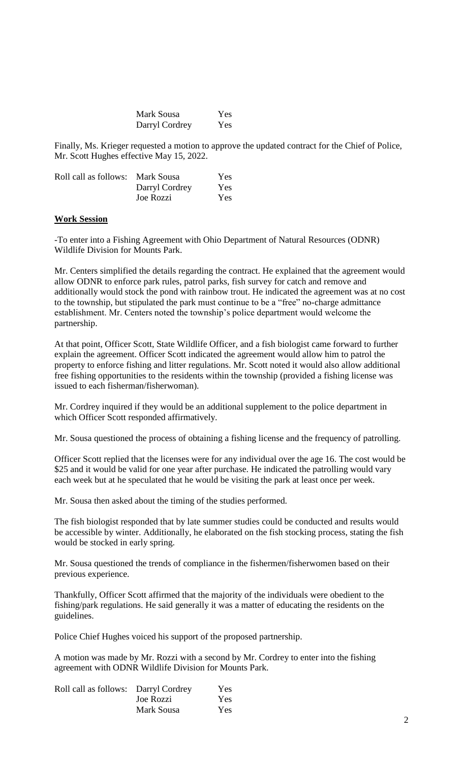| Mark Sousa     | Yes |
|----------------|-----|
| Darryl Cordrey | Yes |

Finally, Ms. Krieger requested a motion to approve the updated contract for the Chief of Police, Mr. Scott Hughes effective May 15, 2022.

| Roll call as follows: Mark Sousa |                | Yes |
|----------------------------------|----------------|-----|
|                                  | Darryl Cordrey | Yes |
|                                  | Joe Rozzi      | Yes |

#### **Work Session**

-To enter into a Fishing Agreement with Ohio Department of Natural Resources (ODNR) Wildlife Division for Mounts Park.

Mr. Centers simplified the details regarding the contract. He explained that the agreement would allow ODNR to enforce park rules, patrol parks, fish survey for catch and remove and additionally would stock the pond with rainbow trout. He indicated the agreement was at no cost to the township, but stipulated the park must continue to be a "free" no-charge admittance establishment. Mr. Centers noted the township's police department would welcome the partnership.

At that point, Officer Scott, State Wildlife Officer, and a fish biologist came forward to further explain the agreement. Officer Scott indicated the agreement would allow him to patrol the property to enforce fishing and litter regulations. Mr. Scott noted it would also allow additional free fishing opportunities to the residents within the township (provided a fishing license was issued to each fisherman/fisherwoman).

Mr. Cordrey inquired if they would be an additional supplement to the police department in which Officer Scott responded affirmatively.

Mr. Sousa questioned the process of obtaining a fishing license and the frequency of patrolling.

Officer Scott replied that the licenses were for any individual over the age 16. The cost would be \$25 and it would be valid for one year after purchase. He indicated the patrolling would vary each week but at he speculated that he would be visiting the park at least once per week.

Mr. Sousa then asked about the timing of the studies performed.

The fish biologist responded that by late summer studies could be conducted and results would be accessible by winter. Additionally, he elaborated on the fish stocking process, stating the fish would be stocked in early spring.

Mr. Sousa questioned the trends of compliance in the fishermen/fisherwomen based on their previous experience.

Thankfully, Officer Scott affirmed that the majority of the individuals were obedient to the fishing/park regulations. He said generally it was a matter of educating the residents on the guidelines.

Police Chief Hughes voiced his support of the proposed partnership.

A motion was made by Mr. Rozzi with a second by Mr. Cordrey to enter into the fishing agreement with ODNR Wildlife Division for Mounts Park.

| Roll call as follows: Darryl Cordrey |            | Yes        |
|--------------------------------------|------------|------------|
|                                      | Joe Rozzi  | <b>Yes</b> |
|                                      | Mark Sousa | <b>Yes</b> |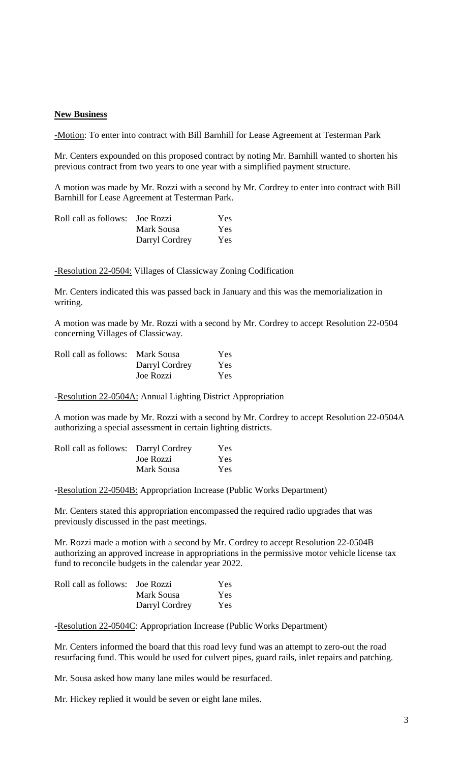## **New Business**

-Motion: To enter into contract with Bill Barnhill for Lease Agreement at Testerman Park

Mr. Centers expounded on this proposed contract by noting Mr. Barnhill wanted to shorten his previous contract from two years to one year with a simplified payment structure.

A motion was made by Mr. Rozzi with a second by Mr. Cordrey to enter into contract with Bill Barnhill for Lease Agreement at Testerman Park.

| Roll call as follows: Joe Rozzi |                | Yes.       |
|---------------------------------|----------------|------------|
|                                 | Mark Sousa     | <b>Yes</b> |
|                                 | Darryl Cordrey | Yes.       |

-Resolution 22-0504: Villages of Classicway Zoning Codification

Mr. Centers indicated this was passed back in January and this was the memorialization in writing.

A motion was made by Mr. Rozzi with a second by Mr. Cordrey to accept Resolution 22-0504 concerning Villages of Classicway.

| Roll call as follows: Mark Sousa |                | Yes |
|----------------------------------|----------------|-----|
|                                  | Darryl Cordrey | Yes |
|                                  | Joe Rozzi      | Yes |

-Resolution 22-0504A: Annual Lighting District Appropriation

A motion was made by Mr. Rozzi with a second by Mr. Cordrey to accept Resolution 22-0504A authorizing a special assessment in certain lighting districts.

| Roll call as follows: Darryl Cordrey |            | <b>Yes</b> |
|--------------------------------------|------------|------------|
|                                      | Joe Rozzi  | <b>Yes</b> |
|                                      | Mark Sousa | <b>Yes</b> |

-Resolution 22-0504B: Appropriation Increase (Public Works Department)

Mr. Centers stated this appropriation encompassed the required radio upgrades that was previously discussed in the past meetings.

Mr. Rozzi made a motion with a second by Mr. Cordrey to accept Resolution 22-0504B authorizing an approved increase in appropriations in the permissive motor vehicle license tax fund to reconcile budgets in the calendar year 2022.

| Roll call as follows: Joe Rozzi |                | Yes. |
|---------------------------------|----------------|------|
|                                 | Mark Sousa     | Yes. |
|                                 | Darryl Cordrey | Yes. |

-Resolution 22-0504C: Appropriation Increase (Public Works Department)

Mr. Centers informed the board that this road levy fund was an attempt to zero-out the road resurfacing fund. This would be used for culvert pipes, guard rails, inlet repairs and patching.

Mr. Sousa asked how many lane miles would be resurfaced.

Mr. Hickey replied it would be seven or eight lane miles.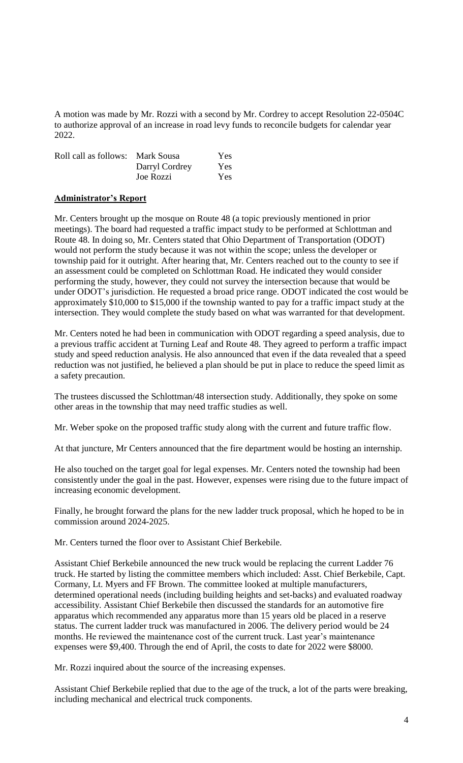A motion was made by Mr. Rozzi with a second by Mr. Cordrey to accept Resolution 22-0504C to authorize approval of an increase in road levy funds to reconcile budgets for calendar year 2022.

| Roll call as follows: Mark Sousa |                | Yes |
|----------------------------------|----------------|-----|
|                                  | Darryl Cordrey | Yes |
|                                  | Joe Rozzi      | Yes |

## **Administrator's Report**

Mr. Centers brought up the mosque on Route 48 (a topic previously mentioned in prior meetings). The board had requested a traffic impact study to be performed at Schlottman and Route 48. In doing so, Mr. Centers stated that Ohio Department of Transportation (ODOT) would not perform the study because it was not within the scope; unless the developer or township paid for it outright. After hearing that, Mr. Centers reached out to the county to see if an assessment could be completed on Schlottman Road. He indicated they would consider performing the study, however, they could not survey the intersection because that would be under ODOT's jurisdiction. He requested a broad price range. ODOT indicated the cost would be approximately \$10,000 to \$15,000 if the township wanted to pay for a traffic impact study at the intersection. They would complete the study based on what was warranted for that development.

Mr. Centers noted he had been in communication with ODOT regarding a speed analysis, due to a previous traffic accident at Turning Leaf and Route 48. They agreed to perform a traffic impact study and speed reduction analysis. He also announced that even if the data revealed that a speed reduction was not justified, he believed a plan should be put in place to reduce the speed limit as a safety precaution.

The trustees discussed the Schlottman/48 intersection study. Additionally, they spoke on some other areas in the township that may need traffic studies as well.

Mr. Weber spoke on the proposed traffic study along with the current and future traffic flow.

At that juncture, Mr Centers announced that the fire department would be hosting an internship.

He also touched on the target goal for legal expenses. Mr. Centers noted the township had been consistently under the goal in the past. However, expenses were rising due to the future impact of increasing economic development.

Finally, he brought forward the plans for the new ladder truck proposal, which he hoped to be in commission around 2024-2025.

Mr. Centers turned the floor over to Assistant Chief Berkebile.

Assistant Chief Berkebile announced the new truck would be replacing the current Ladder 76 truck. He started by listing the committee members which included: Asst. Chief Berkebile, Capt. Cormany, Lt. Myers and FF Brown. The committee looked at multiple manufacturers, determined operational needs (including building heights and set-backs) and evaluated roadway accessibility. Assistant Chief Berkebile then discussed the standards for an automotive fire apparatus which recommended any apparatus more than 15 years old be placed in a reserve status. The current ladder truck was manufactured in 2006. The delivery period would be 24 months. He reviewed the maintenance cost of the current truck. Last year's maintenance expenses were \$9,400. Through the end of April, the costs to date for 2022 were \$8000.

Mr. Rozzi inquired about the source of the increasing expenses.

Assistant Chief Berkebile replied that due to the age of the truck, a lot of the parts were breaking, including mechanical and electrical truck components.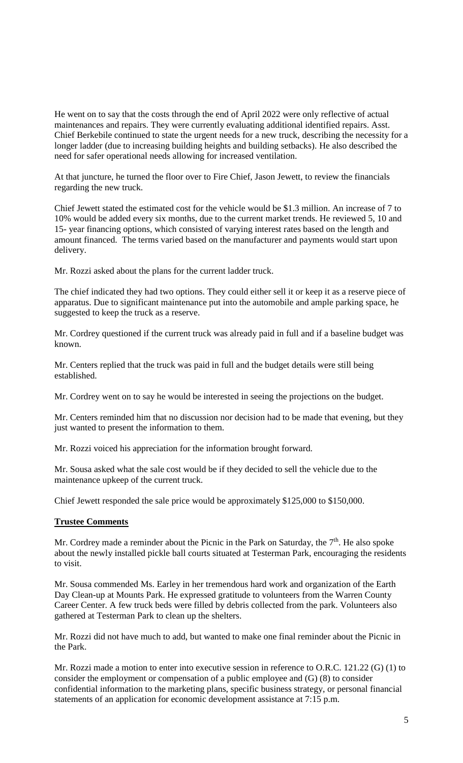He went on to say that the costs through the end of April 2022 were only reflective of actual maintenances and repairs. They were currently evaluating additional identified repairs. Asst. Chief Berkebile continued to state the urgent needs for a new truck, describing the necessity for a longer ladder (due to increasing building heights and building setbacks). He also described the need for safer operational needs allowing for increased ventilation.

At that juncture, he turned the floor over to Fire Chief, Jason Jewett, to review the financials regarding the new truck.

Chief Jewett stated the estimated cost for the vehicle would be \$1.3 million. An increase of 7 to 10% would be added every six months, due to the current market trends. He reviewed 5, 10 and 15- year financing options, which consisted of varying interest rates based on the length and amount financed. The terms varied based on the manufacturer and payments would start upon delivery.

Mr. Rozzi asked about the plans for the current ladder truck.

The chief indicated they had two options. They could either sell it or keep it as a reserve piece of apparatus. Due to significant maintenance put into the automobile and ample parking space, he suggested to keep the truck as a reserve.

Mr. Cordrey questioned if the current truck was already paid in full and if a baseline budget was known.

Mr. Centers replied that the truck was paid in full and the budget details were still being established.

Mr. Cordrey went on to say he would be interested in seeing the projections on the budget.

Mr. Centers reminded him that no discussion nor decision had to be made that evening, but they just wanted to present the information to them.

Mr. Rozzi voiced his appreciation for the information brought forward.

Mr. Sousa asked what the sale cost would be if they decided to sell the vehicle due to the maintenance upkeep of the current truck.

Chief Jewett responded the sale price would be approximately \$125,000 to \$150,000.

## **Trustee Comments**

Mr. Cordrey made a reminder about the Picnic in the Park on Saturday, the  $7<sup>th</sup>$ . He also spoke about the newly installed pickle ball courts situated at Testerman Park, encouraging the residents to visit.

Mr. Sousa commended Ms. Earley in her tremendous hard work and organization of the Earth Day Clean-up at Mounts Park. He expressed gratitude to volunteers from the Warren County Career Center. A few truck beds were filled by debris collected from the park. Volunteers also gathered at Testerman Park to clean up the shelters.

Mr. Rozzi did not have much to add, but wanted to make one final reminder about the Picnic in the Park.

Mr. Rozzi made a motion to enter into executive session in reference to O.R.C. 121.22 (G) (1) to consider the employment or compensation of a public employee and (G) (8) to consider confidential information to the marketing plans, specific business strategy, or personal financial statements of an application for economic development assistance at 7:15 p.m.